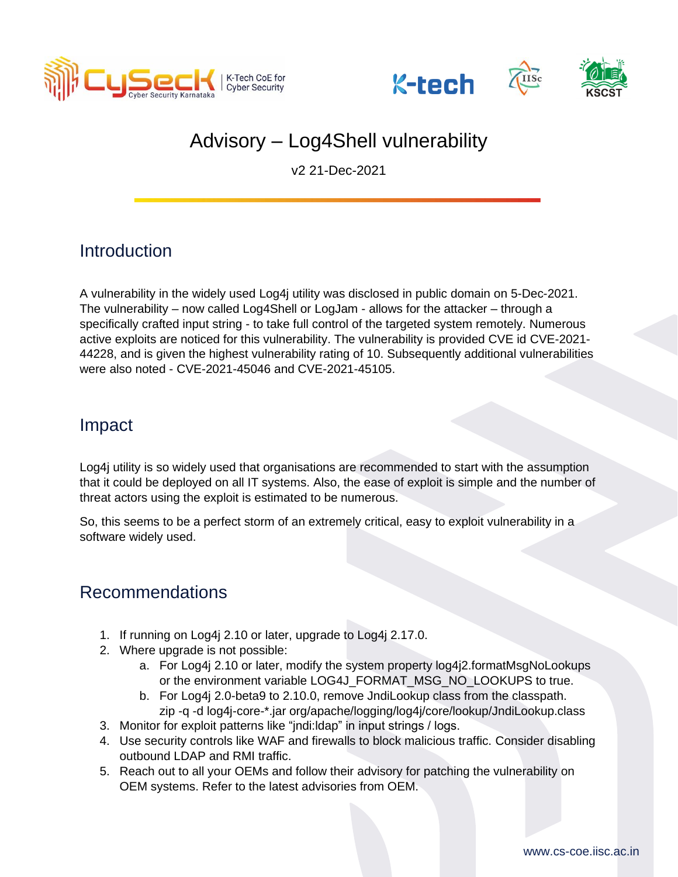





# Advisory – Log4Shell vulnerability

v2 21-Dec-2021

# **Introduction**

A vulnerability in the widely used Log4j utility was disclosed in public domain on 5-Dec-2021. The vulnerability – now called Log4Shell or LogJam - allows for the attacker – through a specifically crafted input string - to take full control of the targeted system remotely. Numerous active exploits are noticed for this vulnerability. The vulnerability is provided CVE id CVE-2021- 44228, and is given the highest vulnerability rating of 10. Subsequently additional vulnerabilities were also noted - CVE-2021-45046 and CVE-2021-45105.

# Impact

Log4j utility is so widely used that organisations are recommended to start with the assumption that it could be deployed on all IT systems. Also, the ease of exploit is simple and the number of threat actors using the exploit is estimated to be numerous.

So, this seems to be a perfect storm of an extremely critical, easy to exploit vulnerability in a software widely used.

### Recommendations

- 1. If running on Log4j 2.10 or later, upgrade to Log4j 2.17.0.
- 2. Where upgrade is not possible:
	- a. For Log4j 2.10 or later, modify the system property log4j2.formatMsgNoLookups or the environment variable LOG4J\_FORMAT\_MSG\_NO\_LOOKUPS to true.
	- b. For Log4j 2.0-beta9 to 2.10.0, remove JndiLookup class from the classpath. zip -q -d log4j-core-\*.jar org/apache/logging/log4j/core/lookup/JndiLookup.class
- 3. Monitor for exploit patterns like "jndi:ldap" in input strings / logs.
- 4. Use security controls like WAF and firewalls to block malicious traffic. Consider disabling outbound LDAP and RMI traffic.
- 5. Reach out to all your OEMs and follow their advisory for patching the vulnerability on OEM systems. Refer to the latest advisories from OEM.